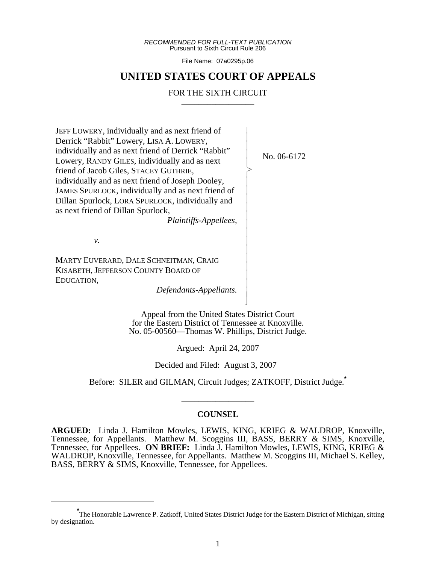*RECOMMENDED FOR FULL-TEXT PUBLICATION* Pursuant to Sixth Circuit Rule 206

File Name: 07a0295p.06

# **UNITED STATES COURT OF APPEALS**

# FOR THE SIXTH CIRCUIT

 $\overline{\phantom{a}}$ - - - -  $\succ$ |<br>|<br>| - - - - - - - - - - - - - - N

JEFF LOWERY, individually and as next friend of Derrick "Rabbit" Lowery, LISA A. LOWERY, individually and as next friend of Derrick "Rabbit" Lowery, RANDY GILES, individually and as next friend of Jacob Giles, STACEY GUTHRIE, individually and as next friend of Joseph Dooley, JAMES SPURLOCK, individually and as next friend of Dillan Spurlock, LORA SPURLOCK, individually and as next friend of Dillan Spurlock,

*Plaintiffs-Appellees,*

*v.*

MARTY EUVERARD, DALE SCHNEITMAN, CRAIG KISABETH, JEFFERSON COUNTY BOARD OF EDUCATION,

*Defendants-Appellants.*

Appeal from the United States District Court for the Eastern District of Tennessee at Knoxville. No. 05-00560—Thomas W. Phillips, District Judge.

Argued: April 24, 2007

Decided and Filed: August 3, 2007

Before: SILER and GILMAN, Circuit Judges; ZATKOFF, District Judge.**\***

\_\_\_\_\_\_\_\_\_\_\_\_\_\_\_\_\_

#### **COUNSEL**

**ARGUED:** Linda J. Hamilton Mowles, LEWIS, KING, KRIEG & WALDROP, Knoxville, Tennessee, for Appellants. Matthew M. Scoggins III, BASS, BERRY & SIMS, Knoxville, Tennessee, for Appellees. **ON BRIEF:** Linda J. Hamilton Mowles, LEWIS, KING, KRIEG & WALDROP, Knoxville, Tennessee, for Appellants. Matthew M. Scoggins III, Michael S. Kelley, BASS, BERRY & SIMS, Knoxville, Tennessee, for Appellees.

No. 06-6172

**<sup>\*</sup>** The Honorable Lawrence P. Zatkoff, United States District Judge for the Eastern District of Michigan, sitting by designation.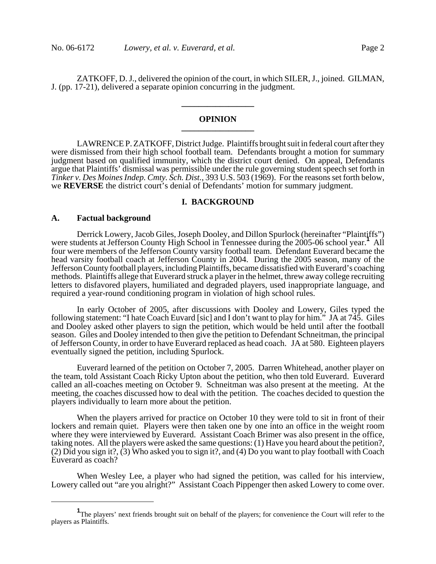ZATKOFF, D. J., delivered the opinion of the court, in which SILER, J., joined. GILMAN, J. (pp. 17-21), delivered a separate opinion concurring in the judgment.

### **OPINION \_\_\_\_\_\_\_\_\_\_\_\_\_\_\_\_\_**

**\_\_\_\_\_\_\_\_\_\_\_\_\_\_\_\_\_**

LAWRENCE P. ZATKOFF, District Judge. Plaintiffs brought suit in federal court after they were dismissed from their high school football team. Defendants brought a motion for summary judgment based on qualified immunity, which the district court denied. On appeal, Defendants argue that Plaintiffs' dismissal was permissible under the rule governing student speech set forth in *Tinker v. Des Moines Indep. Cmty. Sch. Dist.*, 393 U.S. 503 (1969). For the reasons set forth below, we **REVERSE** the district court's denial of Defendants' motion for summary judgment.

#### **I. BACKGROUND**

#### **A. Factual background**

Derrick Lowery, Jacob Giles, Joseph Dooley, and Dillon Spurlock (hereinafter "Plaintiffs") were students at Jefferson County High School in Tennessee during the 2005-06 school year.<sup>1</sup> All four were members of the Jefferson County varsity football team. Defendant Euverard became the head varsity football coach at Jefferson County in 2004. During the 2005 season, many of the Jefferson County football players, including Plaintiffs, became dissatisfied with Euverard's coaching methods. Plaintiffs allege that Euverard struck a player in the helmet, threw away college recruiting letters to disfavored players, humiliated and degraded players, used inappropriate language, and required a year-round conditioning program in violation of high school rules.

In early October of 2005, after discussions with Dooley and Lowery, Giles typed the following statement: "I hate Coach Euvard [sic] and I don't want to play for him." JA at 745. Giles and Dooley asked other players to sign the petition, which would be held until after the football season. Giles and Dooley intended to then give the petition to Defendant Schneitman, the principal of Jefferson County, in order to have Euverard replaced as head coach. JA at 580. Eighteen players eventually signed the petition, including Spurlock.

Euverard learned of the petition on October 7, 2005. Darren Whitehead, another player on the team, told Assistant Coach Ricky Upton about the petition, who then told Euverard. Euverard called an all-coaches meeting on October 9. Schneitman was also present at the meeting. At the meeting, the coaches discussed how to deal with the petition. The coaches decided to question the players individually to learn more about the petition.

When the players arrived for practice on October 10 they were told to sit in front of their lockers and remain quiet. Players were then taken one by one into an office in the weight room where they were interviewed by Euverard. Assistant Coach Brimer was also present in the office, taking notes. All the players were asked the same questions: (1) Have you heard about the petition?, (2) Did you sign it?, (3) Who asked you to sign it?, and (4) Do you want to play football with Coach Euverard as coach?

When Wesley Lee, a player who had signed the petition, was called for his interview, Lowery called out "are you alright?" Assistant Coach Pippenger then asked Lowery to come over.

<sup>&</sup>lt;sup>1</sup>The players' next friends brought suit on behalf of the players; for convenience the Court will refer to the players as Plaintiffs.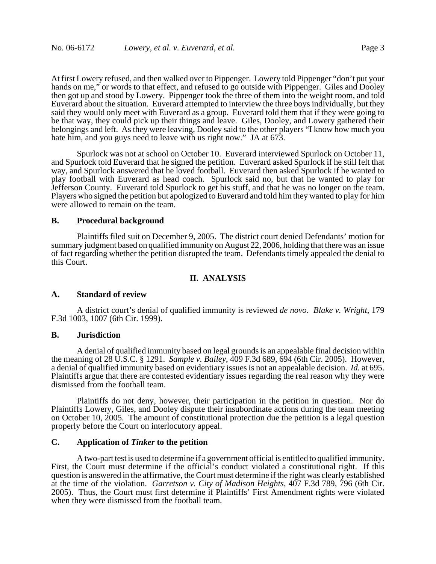At first Lowery refused, and then walked over to Pippenger. Lowery told Pippenger "don't put your hands on me," or words to that effect, and refused to go outside with Pippenger. Giles and Dooley then got up and stood by Lowery. Pippenger took the three of them into the weight room, and told Euverard about the situation. Euverard attempted to interview the three boys individually, but they said they would only meet with Euverard as a group. Euverard told them that if they were going to be that way, they could pick up their things and leave. Giles, Dooley, and Lowery gathered their belongings and left. As they were leaving, Dooley said to the other players "I know how much you hate him, and you guys need to leave with us right now." JA at  $67\overline{3}$ .

Spurlock was not at school on October 10. Euverard interviewed Spurlock on October 11, and Spurlock told Euverard that he signed the petition. Euverard asked Spurlock if he still felt that way, and Spurlock answered that he loved football. Euverard then asked Spurlock if he wanted to play football with Euverard as head coach. Spurlock said no, but that he wanted to play for Jefferson County. Euverard told Spurlock to get his stuff, and that he was no longer on the team. Players who signed the petition but apologized to Euverard and told him they wanted to play for him were allowed to remain on the team.

### **B. Procedural background**

Plaintiffs filed suit on December 9, 2005. The district court denied Defendants' motion for summary judgment based on qualified immunity on August 22, 2006, holding that there was an issue of fact regarding whether the petition disrupted the team. Defendants timely appealed the denial to this Court.

# **II. ANALYSIS**

#### **A. Standard of review**

A district court's denial of qualified immunity is reviewed *de novo*. *Blake v. Wright*, 179 F.3d 1003, 1007 (6th Cir. 1999).

### **B. Jurisdiction**

A denial of qualified immunity based on legal grounds is an appealable final decision within the meaning of 28 U.S.C. § 1291. *Sample v. Bailey*, 409 F.3d 689, 694 (6th Cir. 2005). However, a denial of qualified immunity based on evidentiary issues is not an appealable decision. *Id.* at 695. Plaintiffs argue that there are contested evidentiary issues regarding the real reason why they were dismissed from the football team.

Plaintiffs do not deny, however, their participation in the petition in question. Nor do Plaintiffs Lowery, Giles, and Dooley dispute their insubordinate actions during the team meeting on October 10, 2005. The amount of constitutional protection due the petition is a legal question properly before the Court on interlocutory appeal.

### **C. Application of** *Tinker* **to the petition**

A two-part test is used to determine if a government official is entitled to qualified immunity. First, the Court must determine if the official's conduct violated a constitutional right. If this question is answered in the affirmative, the Court must determine if the right was clearly established at the time of the violation. *Garretson v. City of Madison Heights*, 407 F.3d 789, 796 (6th Cir. 2005). Thus, the Court must first determine if Plaintiffs' First Amendment rights were violated when they were dismissed from the football team.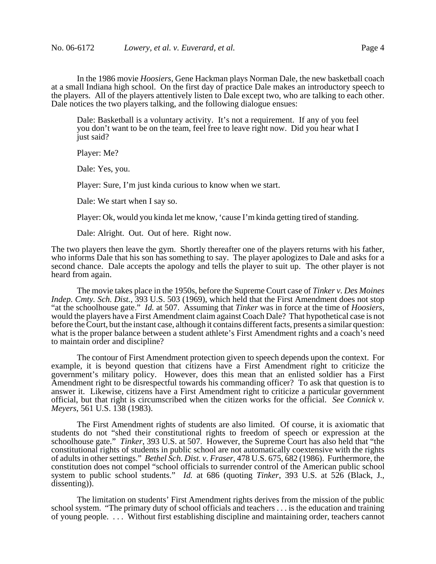In the 1986 movie *Hoosiers*, Gene Hackman plays Norman Dale, the new basketball coach at a small Indiana high school. On the first day of practice Dale makes an introductory speech to the players. All of the players attentively listen to Dale except two, who are talking to each other. Dale notices the two players talking, and the following dialogue ensues:

Dale: Basketball is a voluntary activity. It's not a requirement. If any of you feel you don't want to be on the team, feel free to leave right now. Did you hear what I just said?

Player: Me?

Dale: Yes, you.

Player: Sure, I'm just kinda curious to know when we start.

Dale: We start when I say so.

Player: Ok, would you kinda let me know, 'cause I'm kinda getting tired of standing.

Dale: Alright. Out. Out of here. Right now.

The two players then leave the gym. Shortly thereafter one of the players returns with his father, who informs Dale that his son has something to say. The player apologizes to Dale and asks for a second chance. Dale accepts the apology and tells the player to suit up. The other player is not heard from again.

The movie takes place in the 1950s, before the Supreme Court case of *Tinker v. Des Moines Indep. Cmty. Sch. Dist.*, 393 U.S. 503 (1969), which held that the First Amendment does not stop "at the schoolhouse gate." *Id.* at 507. Assuming that *Tinker* was in force at the time of *Hoosiers*, would the players have a First Amendment claim against Coach Dale? That hypothetical case is not before the Court, but the instant case, although it contains different facts, presents a similar question: what is the proper balance between a student athlete's First Amendment rights and a coach's need to maintain order and discipline?

The contour of First Amendment protection given to speech depends upon the context. For example, it is beyond question that citizens have a First Amendment right to criticize the government's military policy. However, does this mean that an enlisted soldier has a First Amendment right to be disrespectful towards his commanding officer? To ask that question is to answer it. Likewise, citizens have a First Amendment right to criticize a particular government official, but that right is circumscribed when the citizen works for the official. *See Connick v. Meyers*, 561 U.S. 138 (1983).

The First Amendment rights of students are also limited. Of course, it is axiomatic that students do not "shed their constitutional rights to freedom of speech or expression at the schoolhouse gate." *Tinker*, 393 U.S. at 507. However, the Supreme Court has also held that "the constitutional rights of students in public school are not automatically coextensive with the rights of adults in other settings." *Bethel Sch. Dist. v. Fraser*, 478 U.S. 675, 682 (1986). Furthermore, the constitution does not compel "school officials to surrender control of the American public school system to public school students." *Id.* at 686 (quoting *Tinker*, 393 U.S. at 526 (Black, J., dissenting)).

The limitation on students' First Amendment rights derives from the mission of the public school system. "The primary duty of school officials and teachers . . . is the education and training of young people. . . . Without first establishing discipline and maintaining order, teachers cannot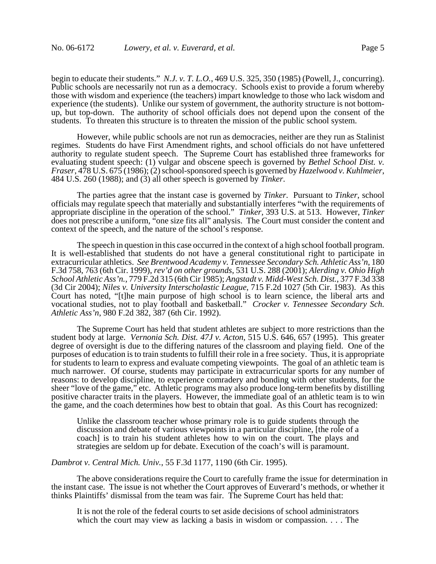begin to educate their students." *N.J. v. T. L.O.*, 469 U.S. 325, 350 (1985) (Powell, J., concurring). Public schools are necessarily not run as a democracy. Schools exist to provide a forum whereby those with wisdom and experience (the teachers) impart knowledge to those who lack wisdom and experience (the students). Unlike our system of government, the authority structure is not bottomup, but top-down. The authority of school officials does not depend upon the consent of the students. To threaten this structure is to threaten the mission of the public school system.

However, while public schools are not run as democracies, neither are they run as Stalinist regimes. Students do have First Amendment rights, and school officials do not have unfettered authority to regulate student speech. The Supreme Court has established three frameworks for evaluating student speech: (1) vulgar and obscene speech is governed by *Bethel School Dist. v. Fraser*, 478 U.S. 675 (1986); (2) school-sponsored speech is governed by *Hazelwood v. Kuhlmeier*, 484 U.S. 260 (1988); and (3) all other speech is governed by *Tinker*.

The parties agree that the instant case is governed by *Tinker*. Pursuant to *Tinker*, school officials may regulate speech that materially and substantially interferes "with the requirements of appropriate discipline in the operation of the school." *Tinker*, 393 U.S. at 513. However, *Tinker* does not prescribe a uniform, "one size fits all" analysis. The Court must consider the content and context of the speech, and the nature of the school's response.

The speech in question in this case occurred in the context of a high school football program. It is well-established that students do not have a general constitutional right to participate in extracurricular athletics. *See Brentwood Academy v. Tennessee Secondary Sch. Athletic Ass'n*, 180 F.3d 758, 763 (6th Cir. 1999), *rev'd on other grounds*, 531 U.S. 288 (2001); *Alerding v. Ohio High School Athletic Ass'n.*, 779 F.2d 315 (6th Cir 1985); *Angstadt v. Midd-West Sch. Dist.*, 377 F.3d 338 (3d Cir 2004); *Niles v. University Interscholastic League*, 715 F.2d 1027 (5th Cir. 1983). As this Court has noted, "[t]he main purpose of high school is to learn science, the liberal arts and vocational studies, not to play football and basketball." *Crocker v. Tennessee Secondary Sch. Athletic Ass'n*, 980 F.2d 382, 387 (6th Cir. 1992).

The Supreme Court has held that student athletes are subject to more restrictions than the student body at large. *Vernonia Sch. Dist. 47J v. Acton*, 515 U.S. 646, 657 (1995). This greater degree of oversight is due to the differing natures of the classroom and playing field. One of the purposes of education is to train students to fulfill their role in a free society. Thus, it is appropriate for students to learn to express and evaluate competing viewpoints. The goal of an athletic team is much narrower. Of course, students may participate in extracurricular sports for any number of reasons: to develop discipline, to experience comradery and bonding with other students, for the sheer "love of the game," etc. Athletic programs may also produce long-term benefits by distilling positive character traits in the players. However, the immediate goal of an athletic team is to win the game, and the coach determines how best to obtain that goal. As this Court has recognized:

Unlike the classroom teacher whose primary role is to guide students through the discussion and debate of various viewpoints in a particular discipline, [the role of a coach] is to train his student athletes how to win on the court. The plays and strategies are seldom up for debate. Execution of the coach's will is paramount.

*Dambrot v. Central Mich. Univ.*, 55 F.3d 1177, 1190 (6th Cir. 1995).

 The above considerations require the Court to carefully frame the issue for determination in the instant case. The issue is not whether the Court approves of Euverard's methods, or whether it thinks Plaintiffs' dismissal from the team was fair. The Supreme Court has held that:

It is not the role of the federal courts to set aside decisions of school administrators which the court may view as lacking a basis in wisdom or compassion. . . . The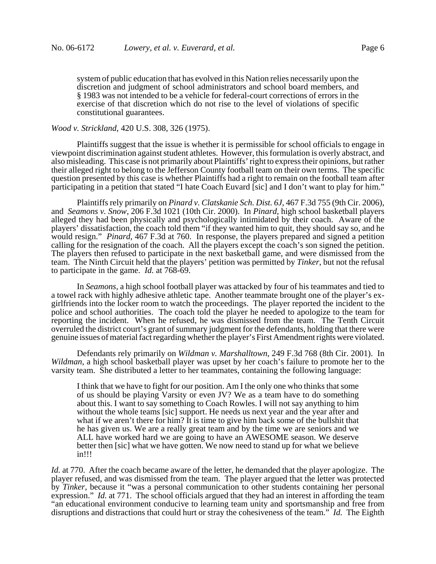system of public education that has evolved in this Nation relies necessarily upon the discretion and judgment of school administrators and school board members, and § 1983 was not intended to be a vehicle for federal-court corrections of errors in the exercise of that discretion which do not rise to the level of violations of specific constitutional guarantees.

# *Wood v. Strickland*, 420 U.S. 308, 326 (1975).

Plaintiffs suggest that the issue is whether it is permissible for school officials to engage in viewpoint discrimination against student athletes. However, this formulation is overly abstract, and also misleading. This case is not primarily about Plaintiffs' right to express their opinions, but rather their alleged right to belong to the Jefferson County football team on their own terms. The specific question presented by this case is whether Plaintiffs had a right to remain on the football team after participating in a petition that stated "I hate Coach Euvard [sic] and I don't want to play for him."

Plaintiffs rely primarily on *Pinard v. Clatskanie Sch. Dist. 6J*, 467 F.3d 755 (9th Cir. 2006), and *Seamons v. Snow*, 206 F.3d 1021 (10th Cir. 2000). In *Pinard*, high school basketball players alleged they had been physically and psychologically intimidated by their coach. Aware of the players' dissatisfaction, the coach told them "if they wanted him to quit, they should say so, and he would resign." *Pinard*, 467 F.3d at 760. In response, the players prepared and signed a petition calling for the resignation of the coach. All the players except the coach's son signed the petition. The players then refused to participate in the next basketball game, and were dismissed from the team. The Ninth Circuit held that the players' petition was permitted by *Tinker*, but not the refusal to participate in the game. *Id.* at 768-69.

In *Seamons*, a high school football player was attacked by four of his teammates and tied to a towel rack with highly adhesive athletic tape. Another teammate brought one of the player's exgirlfriends into the locker room to watch the proceedings. The player reported the incident to the police and school authorities. The coach told the player he needed to apologize to the team for reporting the incident. When he refused, he was dismissed from the team. The Tenth Circuit overruled the district court's grant of summary judgment for the defendants, holding that there were genuine issues of material fact regarding whether the player's First Amendment rights were violated.

Defendants rely primarily on *Wildman v. Marshalltown*, 249 F.3d 768 (8th Cir. 2001). In *Wildman*, a high school basketball player was upset by her coach's failure to promote her to the varsity team. She distributed a letter to her teammates, containing the following language:

I think that we have to fight for our position. Am I the only one who thinks that some of us should be playing Varsity or even JV? We as a team have to do something about this. I want to say something to Coach Rowles. I will not say anything to him without the whole teams [sic] support. He needs us next year and the year after and what if we aren't there for him? It is time to give him back some of the bullshit that he has given us. We are a really great team and by the time we are seniors and we ALL have worked hard we are going to have an AWESOME season. We deserve better then [sic] what we have gotten. We now need to stand up for what we believe in!!!

*Id.* at 770. After the coach became aware of the letter, he demanded that the player apologize. The player refused, and was dismissed from the team. The player argued that the letter was protected by *Tinker*, because it "was a personal communication to other students containing her personal expression." *Id.* at 771. The school officials argued that they had an interest in affording the team "an educational environment conducive to learning team unity and sportsmanship and free from disruptions and distractions that could hurt or stray the cohesiveness of the team." *Id.* The Eighth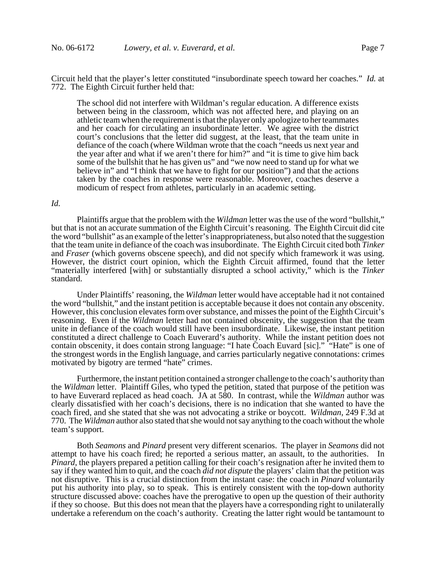Circuit held that the player's letter constituted "insubordinate speech toward her coaches." *Id.* at 772. The Eighth Circuit further held that:

The school did not interfere with Wildman's regular education. A difference exists between being in the classroom, which was not affected here, and playing on an athletic team when the requirement is that the player only apologize to her teammates and her coach for circulating an insubordinate letter. We agree with the district court's conclusions that the letter did suggest, at the least, that the team unite in defiance of the coach (where Wildman wrote that the coach "needs us next year and the year after and what if we aren't there for him?" and "it is time to give him back some of the bullshit that he has given us" and "we now need to stand up for what we believe in" and "I think that we have to fight for our position") and that the actions taken by the coaches in response were reasonable. Moreover, coaches deserve a modicum of respect from athletes, particularly in an academic setting.

### *Id.*

Plaintiffs argue that the problem with the *Wildman* letter was the use of the word "bullshit," but that is not an accurate summation of the Eighth Circuit's reasoning. The Eighth Circuit did cite the word "bullshit" as an example of the letter's inappropriateness, but also noted that the suggestion that the team unite in defiance of the coach was insubordinate. The Eighth Circuit cited both *Tinker* and *Fraser* (which governs obscene speech), and did not specify which framework it was using. However, the district court opinion, which the Eighth Circuit affirmed, found that the letter "materially interfered [with] or substantially disrupted a school activity," which is the *Tinker* standard.

Under Plaintiffs' reasoning, the *Wildman* letter would have acceptable had it not contained the word "bullshit," and the instant petition is acceptable because it does not contain any obscenity. However, this conclusion elevates form over substance, and misses the point of the Eighth Circuit's reasoning. Even if the *Wildman* letter had not contained obscenity, the suggestion that the team unite in defiance of the coach would still have been insubordinate. Likewise, the instant petition constituted a direct challenge to Coach Euverard's authority. While the instant petition does not contain obscenity, it does contain strong language: "I hate Coach Euvard [sic]." "Hate" is one of the strongest words in the English language, and carries particularly negative connotations: crimes motivated by bigotry are termed "hate" crimes.

Furthermore, the instant petition contained a stronger challenge to the coach's authority than the *Wildman* letter. Plaintiff Giles, who typed the petition, stated that purpose of the petition was to have Euverard replaced as head coach. JA at 580. In contrast, while the *Wildman* author was clearly dissatisfied with her coach's decisions, there is no indication that she wanted to have the coach fired, and she stated that she was not advocating a strike or boycott. *Wildman*, 249 F.3d at 770. The *Wildman* author also stated that she would not say anything to the coach without the whole team's support.

Both *Seamons* and *Pinard* present very different scenarios. The player in *Seamons* did not attempt to have his coach fired; he reported a serious matter, an assault, to the authorities. In *Pinard*, the players prepared a petition calling for their coach's resignation after he invited them to say if they wanted him to quit, and the coach *did not dispute* the players' claim that the petition was not disruptive. This is a crucial distinction from the instant case: the coach in *Pinard* voluntarily put his authority into play, so to speak. This is entirely consistent with the top-down authority structure discussed above: coaches have the prerogative to open up the question of their authority if they so choose. But this does not mean that the players have a corresponding right to unilaterally undertake a referendum on the coach's authority. Creating the latter right would be tantamount to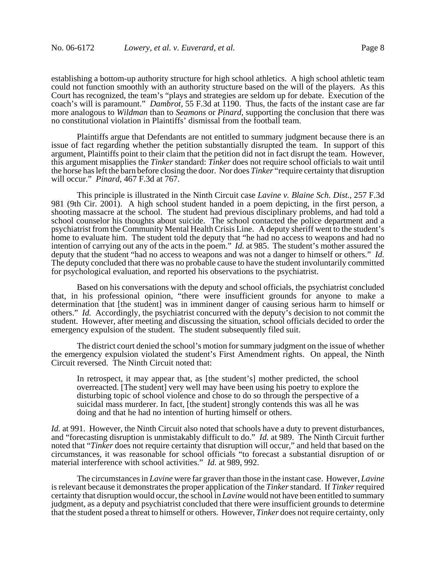establishing a bottom-up authority structure for high school athletics. A high school athletic team could not function smoothly with an authority structure based on the will of the players. As this Court has recognized, the team's "plays and strategies are seldom up for debate. Execution of the coach's will is paramount." *Dambrot*, 55 F.3d at 1190. Thus, the facts of the instant case are far more analogous to *Wildman* than to *Seamons* or *Pinard*, supporting the conclusion that there was no constitutional violation in Plaintiffs' dismissal from the football team.

Plaintiffs argue that Defendants are not entitled to summary judgment because there is an issue of fact regarding whether the petition substantially disrupted the team. In support of this argument, Plaintiffs point to their claim that the petition did not in fact disrupt the team. However, this argument misapplies the *Tinker* standard: *Tinker* does not require school officials to wait until the horse has left the barn before closing the door. Nor does *Tinker* "require certainty that disruption will occur." *Pinard*, 467 F.3d at 767.

This principle is illustrated in the Ninth Circuit case *Lavine v. Blaine Sch. Dist.*, 257 F.3d 981 (9th Cir. 2001). A high school student handed in a poem depicting, in the first person, a shooting massacre at the school. The student had previous disciplinary problems, and had told a school counselor his thoughts about suicide. The school contacted the police department and a psychiatrist from the Community Mental Health Crisis Line. A deputy sheriff went to the student's home to evaluate him. The student told the deputy that "he had no access to weapons and had no intention of carrying out any of the acts in the poem." *Id.* at 985. The student's mother assured the deputy that the student "had no access to weapons and was not a danger to himself or others." *Id.* The deputy concluded that there was no probable cause to have the student involuntarily committed for psychological evaluation, and reported his observations to the psychiatrist.

Based on his conversations with the deputy and school officials, the psychiatrist concluded that, in his professional opinion, "there were insufficient grounds for anyone to make a determination that [the student] was in imminent danger of causing serious harm to himself or others." *Id.* Accordingly, the psychiatrist concurred with the deputy's decision to not commit the student. However, after meeting and discussing the situation, school officials decided to order the emergency expulsion of the student. The student subsequently filed suit.

The district court denied the school's motion for summary judgment on the issue of whether the emergency expulsion violated the student's First Amendment rights. On appeal, the Ninth Circuit reversed. The Ninth Circuit noted that:

In retrospect, it may appear that, as [the student's] mother predicted, the school overreacted. [The student] very well may have been using his poetry to explore the disturbing topic of school violence and chose to do so through the perspective of a suicidal mass murderer. In fact, [the student] strongly contends this was all he was doing and that he had no intention of hurting himself or others.

*Id.* at 991. However, the Ninth Circuit also noted that schools have a duty to prevent disturbances, and "forecasting disruption is unmistakably difficult to do." *Id.* at 989. The Ninth Circuit further noted that "*Tinker* does not require certainty that disruption will occur," and held that based on the circumstances, it was reasonable for school officials "to forecast a substantial disruption of or material interference with school activities." *Id.* at 989, 992.

The circumstances in *Lavine* were far graver than those in the instant case. However, *Lavine* is relevant because it demonstrates the proper application of the *Tinker* standard. If *Tinker* required certainty that disruption would occur, the school in *Lavine* would not have been entitled to summary judgment, as a deputy and psychiatrist concluded that there were insufficient grounds to determine that the student posed a threat to himself or others. However, *Tinker* does not require certainty, only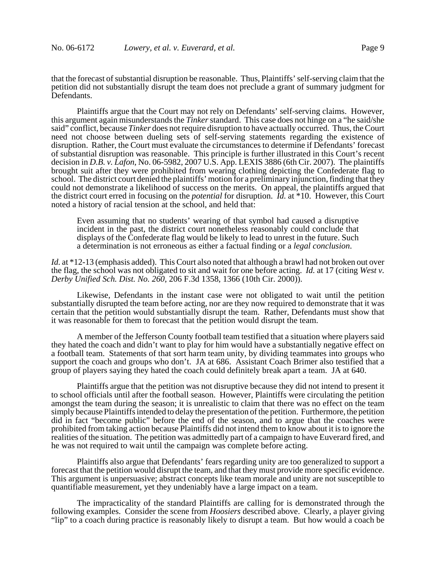that the forecast of substantial disruption be reasonable. Thus, Plaintiffs' self-serving claim that the petition did not substantially disrupt the team does not preclude a grant of summary judgment for Defendants.

Plaintiffs argue that the Court may not rely on Defendants' self-serving claims. However, this argument again misunderstands the *Tinker* standard. This case does not hinge on a "he said/she said" conflict, because *Tinker* does not require disruption to have actually occurred. Thus, the Court need not choose between dueling sets of self-serving statements regarding the existence of disruption. Rather, the Court must evaluate the circumstances to determine if Defendants' forecast of substantial disruption was reasonable. This principle is further illustrated in this Court's recent decision in *D.B. v. Lafon*, No. 06-5982, 2007 U.S. App. LEXIS 3886 (6th Cir. 2007). The plaintiffs brought suit after they were prohibited from wearing clothing depicting the Confederate flag to school. The district court denied the plaintiffs' motion for a preliminary injunction, finding that they could not demonstrate a likelihood of success on the merits. On appeal, the plaintiffs argued that the district court erred in focusing on the *potential* for disruption. *Id.* at \*10. However, this Court noted a history of racial tension at the school, and held that:

Even assuming that no students' wearing of that symbol had caused a disruptive incident in the past, the district court nonetheless reasonably could conclude that displays of the Confederate flag would be likely to lead to unrest in the future. Such a determination is not erroneous as either a factual finding or a *legal conclusion*.

*Id.* at \*12-13 (emphasis added). This Court also noted that although a brawl had not broken out over the flag, the school was not obligated to sit and wait for one before acting. *Id.* at 17 (citing *West v. Derby Unified Sch. Dist. No. 260*, 206 F.3d 1358, 1366 (10th Cir. 2000)).

Likewise, Defendants in the instant case were not obligated to wait until the petition substantially disrupted the team before acting, nor are they now required to demonstrate that it was certain that the petition would substantially disrupt the team. Rather, Defendants must show that it was reasonable for them to forecast that the petition would disrupt the team.

A member of the Jefferson County football team testified that a situation where players said they hated the coach and didn't want to play for him would have a substantially negative effect on a football team. Statements of that sort harm team unity, by dividing teammates into groups who support the coach and groups who don't. JA at 686. Assistant Coach Brimer also testified that a group of players saying they hated the coach could definitely break apart a team. JA at 640.

Plaintiffs argue that the petition was not disruptive because they did not intend to present it to school officials until after the football season. However, Plaintiffs were circulating the petition amongst the team during the season; it is unrealistic to claim that there was no effect on the team simply because Plaintiffs intended to delay the presentation of the petition. Furthermore, the petition did in fact "become public" before the end of the season, and to argue that the coaches were prohibited from taking action because Plaintiffs did not intend them to know about it is to ignore the realities of the situation. The petition was admittedly part of a campaign to have Euverard fired, and he was not required to wait until the campaign was complete before acting.

Plaintiffs also argue that Defendants' fears regarding unity are too generalized to support a forecast that the petition would disrupt the team, and that they must provide more specific evidence. This argument is unpersuasive; abstract concepts like team morale and unity are not susceptible to quantifiable measurement, yet they undeniably have a large impact on a team.

The impracticality of the standard Plaintiffs are calling for is demonstrated through the following examples. Consider the scene from *Hoosiers* described above. Clearly, a player giving "lip" to a coach during practice is reasonably likely to disrupt a team. But how would a coach be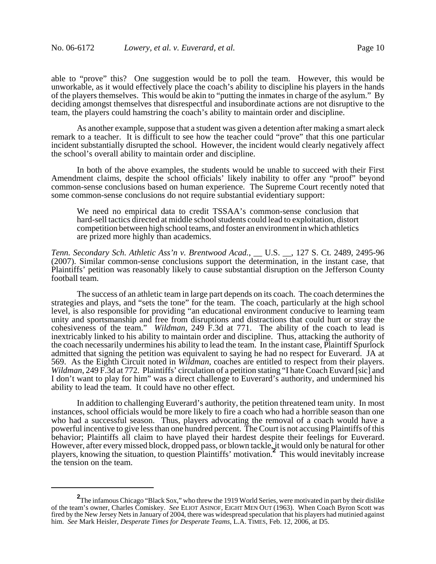able to "prove" this? One suggestion would be to poll the team. However, this would be unworkable, as it would effectively place the coach's ability to discipline his players in the hands of the players themselves. This would be akin to "putting the inmates in charge of the asylum." By deciding amongst themselves that disrespectful and insubordinate actions are not disruptive to the team, the players could hamstring the coach's ability to maintain order and discipline.

As another example, suppose that a student was given a detention after making a smart aleck remark to a teacher. It is difficult to see how the teacher could "prove" that this one particular incident substantially disrupted the school. However, the incident would clearly negatively affect the school's overall ability to maintain order and discipline.

In both of the above examples, the students would be unable to succeed with their First Amendment claims, despite the school officials' likely inability to offer any "proof" beyond common-sense conclusions based on human experience. The Supreme Court recently noted that some common-sense conclusions do not require substantial evidentiary support:

We need no empirical data to credit TSSAA's common-sense conclusion that hard-sell tactics directed at middle school students could lead to exploitation, distort competition between high school teams, and foster an environment in which athletics are prized more highly than academics.

*Tenn. Secondary Sch. Athletic Ass'n v. Brentwood Acad.*, \_\_ U.S. \_\_, 127 S. Ct. 2489, 2495-96 (2007). Similar common-sense conclusions support the determination, in the instant case, that Plaintiffs' petition was reasonably likely to cause substantial disruption on the Jefferson County football team.

The success of an athletic team in large part depends on its coach. The coach determines the strategies and plays, and "sets the tone" for the team. The coach, particularly at the high school level, is also responsible for providing "an educational environment conducive to learning team unity and sportsmanship and free from disruptions and distractions that could hurt or stray the cohesiveness of the team." *Wildman*, 249 F.3d at 771. The ability of the coach to lead is inextricably linked to his ability to maintain order and discipline. Thus, attacking the authority of the coach necessarily undermines his ability to lead the team. In the instant case, Plaintiff Spurlock admitted that signing the petition was equivalent to saying he had no respect for Euverard. JA at 569. As the Eighth Circuit noted in *Wildman*, coaches are entitled to respect from their players. *Wildman*, 249 F.3d at 772. Plaintiffs' circulation of a petition stating "I hate Coach Euvard [sic] and I don't want to play for him" was a direct challenge to Euverard's authority, and undermined his ability to lead the team. It could have no other effect.

In addition to challenging Euverard's authority, the petition threatened team unity. In most instances, school officials would be more likely to fire a coach who had a horrible season than one who had a successful season. Thus, players advocating the removal of a coach would have a powerful incentive to give less than one hundred percent. The Court is not accusing Plaintiffs of this behavior; Plaintiffs all claim to have played their hardest despite their feelings for Euverard. However, after every missed block, dropped pass, or blown tackle, it would only be natural for other players, knowing the situation, to question Plaintiffs' motivation.**<sup>2</sup>** This would inevitably increase the tension on the team.

**<sup>2</sup>** The infamous Chicago "Black Sox," who threw the 1919 World Series, were motivated in part by their dislike of the team's owner, Charles Comiskey. *See* ELIOT ASINOF, EIGHT MEN OUT (1963). When Coach Byron Scott was fired by the New Jersey Nets in January of 2004, there was widespread speculation that his players had mutinied against him. *See* Mark Heisler, *Desperate Times for Desperate Teams*, L.A. TIMES, Feb. 12, 2006, at D5.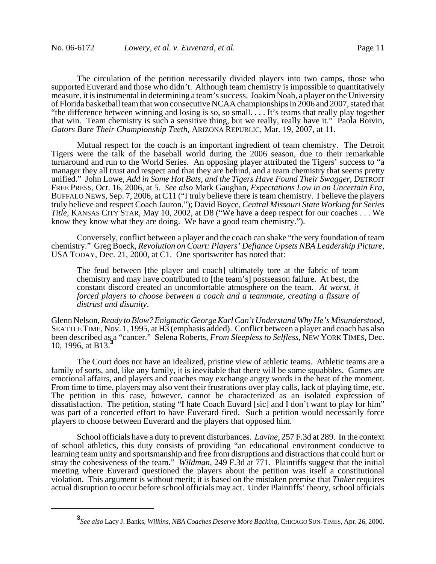The circulation of the petition necessarily divided players into two camps, those who supported Euverard and those who didn't. Although team chemistry is impossible to quantitatively measure, it is instrumental in determining a team's success. Joakim Noah, a player on the University of Florida basketball team that won consecutive NCAA championships in 2006 and 2007, stated that "the difference between winning and losing is so, so small. . . . It's teams that really play together that win. Team chemistry is such a sensitive thing, but we really, really have it." Paola Boivin, *Gators Bare Their Championship Teeth*, ARIZONA REPUBLIC, Mar. 19, 2007, at 11.

Mutual respect for the coach is an important ingredient of team chemistry. The Detroit Tigers were the talk of the baseball world during the 2006 season, due to their remarkable turnaround and run to the World Series. An opposing player attributed the Tigers' success to "a manager they all trust and respect and that they are behind, and a team chemistry that seems pretty unified." John Lowe, *Add in Some Hot Bats, and the Tigers Have Found Their Swagger*, DETROIT FREE PRESS, Oct. 16, 2006, at 5. See also Mark Gaughan, *Expectations Low in an Uncertain Era*, BUFFALO NEWS, Sep. 7, 2006, at C11 ("I truly believe there is team chemistry. I believe the players truly believe and respect Coach Jauron."); David Boyce, *Central Missouri State Working for Series Title*, KANSAS CITY STAR, May 10, 2002, at D8 ("We have a deep respect for our coaches . . . We know they know what they are doing. We have a good team chemistry.").

Conversely, conflict between a player and the coach can shake "the very foundation of team chemistry." Greg Boeck, *Revolution on Court: Players' Defiance Upsets NBA Leadership Picture*, USA TODAY, Dec. 21, 2000, at C1. One sportswriter has noted that:

The feud between [the player and coach] ultimately tore at the fabric of team chemistry and may have contributed to [the team's] postseason failure. At best, the constant discord created an uncomfortable atmosphere on the team. *At worst, it forced players to choose between a coach and a teammate, creating a fissure of distrust and disunity*.

Glenn Nelson, *Ready to Blow? Enigmatic George Karl Can't Understand Why He's Misunderstood*, SEATTLE TIME, Nov. 1, 1995, at H3 (emphasis added). Conflict between a player and coach has also been described as a "cancer." Selena Roberts, *From Sleepless to Selfless*, NEW YORK TIMES, Dec. 10, 1996, at B13.

The Court does not have an idealized, pristine view of athletic teams. Athletic teams are a family of sorts, and, like any family, it is inevitable that there will be some squabbles. Games are emotional affairs, and players and coaches may exchange angry words in the heat of the moment. From time to time, players may also vent their frustrations over play calls, lack of playing time, etc. The petition in this case, however, cannot be characterized as an isolated expression of dissatisfaction. The petition, stating "I hate Coach Euvard [sic] and I don't want to play for him" was part of a concerted effort to have Euverard fired. Such a petition would necessarily force players to choose between Euverard and the players that opposed him.

School officials have a duty to prevent disturbances. *Lavine*, 257 F.3d at 289. In the context of school athletics, this duty consists of providing "an educational environment conducive to learning team unity and sportsmanship and free from disruptions and distractions that could hurt or stray the cohesiveness of the team." *Wildman*, 249 F.3d at 771. Plaintiffs suggest that the initial meeting where Euverard questioned the players about the petition was itself a constitutional violation. This argument is without merit; it is based on the mistaken premise that *Tinker* requires actual disruption to occur before school officials may act. Under Plaintiffs' theory, school officials

**<sup>3</sup>** *See also* Lacy J. Banks, *Wilkins, NBA Coaches Deserve More Backing*, CHICAGO SUN-TIMES, Apr. 26, 2000.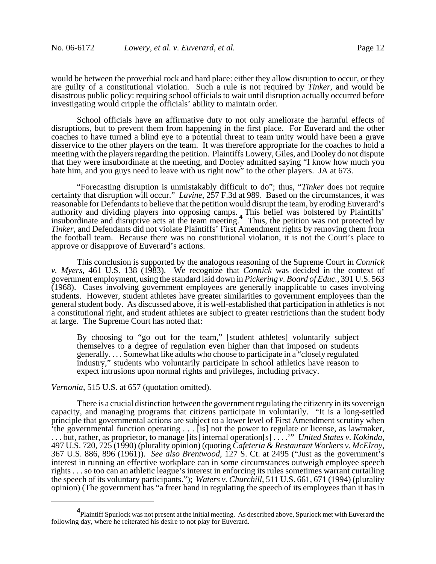would be between the proverbial rock and hard place: either they allow disruption to occur, or they are guilty of a constitutional violation. Such a rule is not required by *Tinker*, and would be disastrous public policy: requiring school officials to wait until disruption actually occurred before investigating would cripple the officials' ability to maintain order.

School officials have an affirmative duty to not only ameliorate the harmful effects of disruptions, but to prevent them from happening in the first place. For Euverard and the other coaches to have turned a blind eye to a potential threat to team unity would have been a grave disservice to the other players on the team. It was therefore appropriate for the coaches to hold a meeting with the players regarding the petition. Plaintiffs Lowery, Giles, and Dooley do not dispute that they were insubordinate at the meeting, and Dooley admitted saying "I know how much you hate him, and you guys need to leave with us right now" to the other players. JA at 673.

"Forecasting disruption is unmistakably difficult to do"; thus, "*Tinker* does not require certainty that disruption will occur." *Lavine*, 257 F.3d at 989. Based on the circumstances, it was reasonable for Defendants to believe that the petition would disrupt the team, by eroding Euverard's authority and dividing players into opposing camps. This belief was bolstered by Plaintiffs' insubordinate and disruptive acts at the team meeting.**<sup>4</sup>** Thus, the petition was not protected by *Tinker*, and Defendants did not violate Plaintiffs' First Amendment rights by removing them from the football team. Because there was no constitutional violation, it is not the Court's place to approve or disapprove of Euverard's actions.

This conclusion is supported by the analogous reasoning of the Supreme Court in *Connick v. Myers*, 461 U.S. 138 (1983). We recognize that *Connick* was decided in the context of government employment, using the standard laid down in *Pickering v. Board of Educ.*, 391 U.S. 563 (1968). Cases involving government employees are generally inapplicable to cases involving students. However, student athletes have greater similarities to government employees than the general student body. As discussed above, it is well-established that participation in athletics is not a constitutional right, and student athletes are subject to greater restrictions than the student body at large. The Supreme Court has noted that:

By choosing to "go out for the team," [student athletes] voluntarily subject themselves to a degree of regulation even higher than that imposed on students generally. . . . Somewhat like adults who choose to participate in a "closely regulated industry," students who voluntarily participate in school athletics have reason to expect intrusions upon normal rights and privileges, including privacy.

*Vernonia*, 515 U.S. at 657 (quotation omitted).

There is a crucial distinction between the government regulating the citizenry in its sovereign capacity, and managing programs that citizens participate in voluntarily. "It is a long-settled principle that governmental actions are subject to a lower level of First Amendment scrutiny when 'the governmental function operating . . . [is] not the power to regulate or license, as lawmaker, ... but, rather, as proprietor, to manage [its] internal operation[s] ...." United States v. Kokinda, 497 U.S. 720, 725 (1990) (plurality opinion) (quoting *Cafeteria & Restaurant Workers v. McElroy*, 367 U.S. 886, 896 (19 interest in running an effective workplace can in some circumstances outweigh employee speech rights . . . so too can an athletic league's interest in enforcing its rules sometimes warrant curtailing the speech of its voluntary participants."); *Waters v. Churchill*, 511 U.S. 661, 671 (1994) (plurality opinion) (The government has "a freer hand in regulating the speech of its employees than it has in

**<sup>4</sup>** Plaintiff Spurlock was not present at the initial meeting. As described above, Spurlock met with Euverard the following day, where he reiterated his desire to not play for Euverard.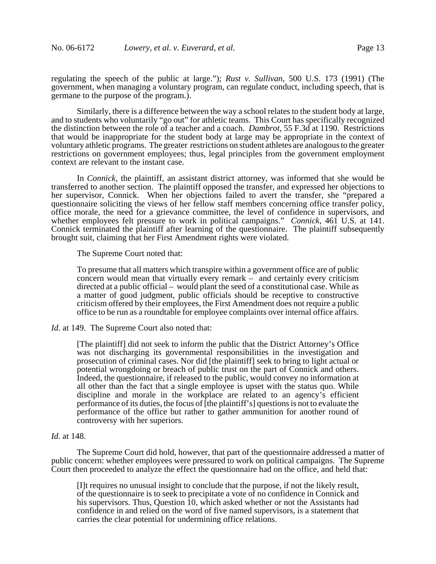regulating the speech of the public at large."); *Rust v. Sullivan*, 500 U.S. 173 (1991) (The government, when managing a voluntary program, can regulate conduct, including speech, that is germane to the purpose of the program.).

Similarly, there is a difference between the way a school relates to the student body at large, and to students who voluntarily "go out" for athletic teams. This Court has specifically recognized the distinction between the role of a teacher and a coach. *Dambrot*, 55 F.3d at 1190. Restrictions that would be inappropriate for the student body at large may be appropriate in the context of voluntary athletic programs. The greater restrictions on student athletes are analogous to the greater restrictions on government employees; thus, legal principles from the government employment context are relevant to the instant case.

In *Connick*, the plaintiff, an assistant district attorney, was informed that she would be transferred to another section. The plaintiff opposed the transfer, and expressed her objections to her supervisor, Connick. When her objections failed to avert the transfer, she "prepared a questionnaire soliciting the views of her fellow staff members concerning office transfer policy, office morale, the need for a grievance committee, the level of confidence in supervisors, and whether employees felt pressure to work in political campaigns." *Connick*, 461 U.S. at 141. Connick terminated the plaintiff after learning of the questionnaire. The plaintiff subsequently brought suit, claiming that her First Amendment rights were violated.

The Supreme Court noted that:

To presume that all matters which transpire within a government office are of public concern would mean that virtually every remark – and certainly every criticism directed at a public official – would plant the seed of a constitutional case. While as a matter of good judgment, public officials should be receptive to constructive criticism offered by their employees, the First Amendment does not require a public office to be run as a roundtable for employee complaints over internal office affairs.

*Id.* at 149. The Supreme Court also noted that:

[The plaintiff] did not seek to inform the public that the District Attorney's Office was not discharging its governmental responsibilities in the investigation and prosecution of criminal cases. Nor did [the plaintiff] seek to bring to light actual or potential wrongdoing or breach of public trust on the part of Connick and others. Indeed, the questionnaire, if released to the public, would convey no information at all other than the fact that a single employee is upset with the status quo. While discipline and morale in the workplace are related to an agency's efficient performance of its duties, the focus of [the plaintiff's] questions is not to evaluate the performance of the office but rather to gather ammunition for another round of controversy with her superiors.

#### *Id.* at 148.

The Supreme Court did hold, however, that part of the questionnaire addressed a matter of public concern: whether employees were pressured to work on political campaigns. The Supreme Court then proceeded to analyze the effect the questionnaire had on the office, and held that:

[I]t requires no unusual insight to conclude that the purpose, if not the likely result, of the questionnaire is to seek to precipitate a vote of no confidence in Connick and his supervisors. Thus, Question 10, which asked whether or not the Assistants had confidence in and relied on the word of five named supervisors, is a statement that carries the clear potential for undermining office relations.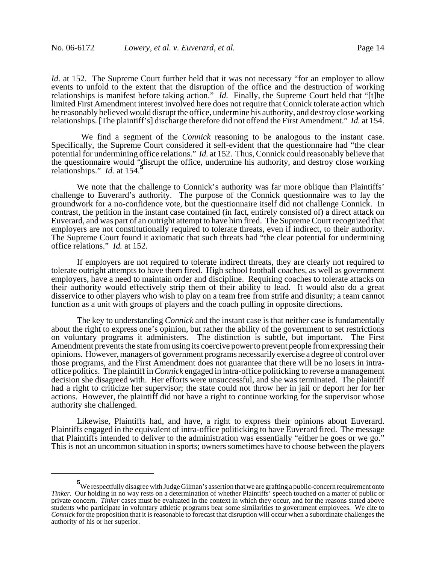*Id.* at 152. The Supreme Court further held that it was not necessary "for an employer to allow events to unfold to the extent that the disruption of the office and the destruction of working relationships is manifest before taking action." *Id.* Finally, the Supreme Court held that "[t]he limited First Amendment interest involved here does not require that Connick tolerate action which he reasonably believed would disrupt the office, undermine his authority, and destroy close working relationships. [The plaintiff's] discharge therefore did not offend the First Amendment." *Id.* at 154.

 We find a segment of the *Connick* reasoning to be analogous to the instant case. Specifically, the Supreme Court considered it self-evident that the questionnaire had "the clear potential for undermining office relations." *Id.* at 152. Thus, Connick could reasonably believe that the questionnaire would "disrupt the office, undermine his authority, and destroy close working relationships." *Id.* at 154.**<sup>5</sup>**

We note that the challenge to Connick's authority was far more oblique than Plaintiffs' challenge to Euverard's authority. The purpose of the Connick questionnaire was to lay the groundwork for a no-confidence vote, but the questionnaire itself did not challenge Connick. In contrast, the petition in the instant case contained (in fact, entirely consisted of) a direct attack on Euverard, and was part of an outright attempt to have him fired. The Supreme Court recognized that employers are not constitutionally required to tolerate threats, even if indirect, to their authority. The Supreme Court found it axiomatic that such threats had "the clear potential for undermining office relations." *Id.* at 152.

If employers are not required to tolerate indirect threats, they are clearly not required to tolerate outright attempts to have them fired. High school football coaches, as well as government employers, have a need to maintain order and discipline. Requiring coaches to tolerate attacks on their authority would effectively strip them of their ability to lead. It would also do a great disservice to other players who wish to play on a team free from strife and disunity; a team cannot function as a unit with groups of players and the coach pulling in opposite directions.

The key to understanding *Connick* and the instant case is that neither case is fundamentally about the right to express one's opinion, but rather the ability of the government to set restrictions on voluntary programs it administers. The distinction is subtle, but important. The First Amendment prevents the state from using its coercive power to prevent people from expressing their opinions. However, managers of government programs necessarily exercise a degree of control over those programs, and the First Amendment does not guarantee that there will be no losers in intraoffice politics. The plaintiff in *Connick* engaged in intra-office politicking to reverse a management decision she disagreed with. Her efforts were unsuccessful, and she was terminated. The plaintiff had a right to criticize her supervisor; the state could not throw her in jail or deport her for her actions. However, the plaintiff did not have a right to continue working for the supervisor whose authority she challenged.

Likewise, Plaintiffs had, and have, a right to express their opinions about Euverard. Plaintiffs engaged in the equivalent of intra-office politicking to have Euverard fired. The message that Plaintiffs intended to deliver to the administration was essentially "either he goes or we go." This is not an uncommon situation in sports; owners sometimes have to choose between the players

**<sup>5</sup>** We respectfully disagree with Judge Gilman's assertion that we are grafting a public-concern requirement onto *Tinker*. Our holding in no way rests on a determination of whether Plaintiffs' speech touched on a matter of public or private concern. *Tinker* cases must be evaluated in the context in which they occur, and for the reasons stated above students who participate in voluntary athletic programs bear some similarities to government employees. We cite to *Connick* for the proposition that it is reasonable to forecast that disruption will occur when a subordinate challenges the authority of his or her superior.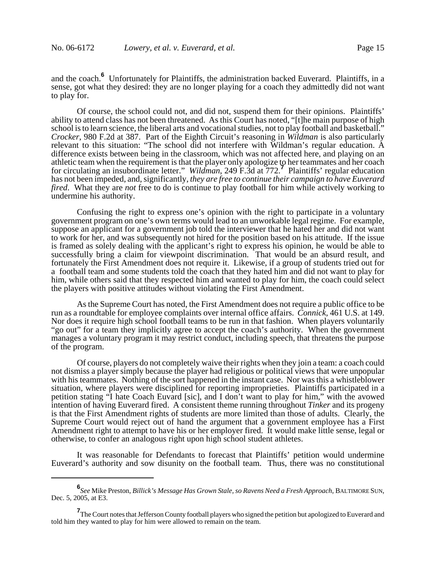and the coach.**<sup>6</sup>** Unfortunately for Plaintiffs, the administration backed Euverard. Plaintiffs, in a sense, got what they desired: they are no longer playing for a coach they admittedly did not want to play for.

Of course, the school could not, and did not, suspend them for their opinions. Plaintiffs' ability to attend class has not been threatened. As this Court has noted, "[t]he main purpose of high school is to learn science, the liberal arts and vocational studies, not to play football and basketball." *Crocker*, 980 F.2d at 387. Part of the Eighth Circuit's reasoning in *Wildman* is also particularly relevant to this situation: "The school did not interfere with Wildman's regular education. A difference exists between being in the classroom, which was not affected here, and playing on an athletic team when the requirement is that the player only apologize to her teammates and her coach for circulating an insubordinate letter." *Wildman*, 249 F.3d at 772.**<sup>7</sup>** Plaintiffs' regular education has not been impeded, and, significantly, *they are free to continue their campaign to have Euverard fired*. What they are *not* free to do is continue to play football for him while actively working to undermine his authority.

Confusing the right to express one's opinion with the right to participate in a voluntary government program on one's own terms would lead to an unworkable legal regime. For example, suppose an applicant for a government job told the interviewer that he hated her and did not want to work for her, and was subsequently not hired for the position based on his attitude. If the issue is framed as solely dealing with the applicant's right to express his opinion, he would be able to successfully bring a claim for viewpoint discrimination. That would be an absurd result, and fortunately the First Amendment does not require it. Likewise, if a group of students tried out for a football team and some students told the coach that they hated him and did not want to play for him, while others said that they respected him and wanted to play for him, the coach could select the players with positive attitudes without violating the First Amendment.

As the Supreme Court has noted, the First Amendment does not require a public office to be run as a roundtable for employee complaints over internal office affairs. *Connick*, 461 U.S. at 149. Nor does it require high school football teams to be run in that fashion. When players voluntarily "go out" for a team they implicitly agree to accept the coach's authority. When the government manages a voluntary program it may restrict conduct, including speech, that threatens the purpose of the program.

Of course, players do not completely waive their rights when they join a team: a coach could not dismiss a player simply because the player had religious or political views that were unpopular with his teammates. Nothing of the sort happened in the instant case. Nor was this a whistleblower situation, where players were disciplined for reporting improprieties. Plaintiffs participated in a petition stating "I hate Coach Euvard [sic], and I don't want to play for him," with the avowed intention of having Euverard fired. A consistent theme running throughout *Tinker* and its progeny is that the First Amendment rights of students are more limited than those of adults. Clearly, the Supreme Court would reject out of hand the argument that a government employee has a First Amendment right to attempt to have his or her employer fired. It would make little sense, legal or otherwise, to confer an analogous right upon high school student athletes.

It was reasonable for Defendants to forecast that Plaintiffs' petition would undermine Euverard's authority and sow disunity on the football team. Thus, there was no constitutional

**<sup>6</sup>** *See* Mike Preston, *Billick's Message Has Grown Stale, so Ravens Need a Fresh Approach*, BALTIMORE SUN, Dec. 5, 2005, at E3.

**<sup>7</sup>** The Court notes that Jefferson County football players who signed the petition but apologized to Euverard and told him they wanted to play for him were allowed to remain on the team.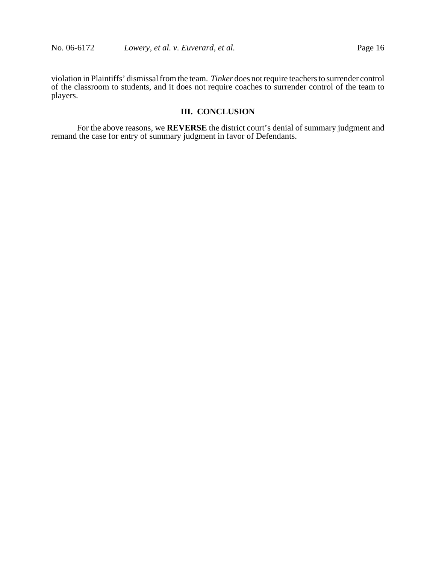violation in Plaintiffs' dismissal from the team. *Tinker* does not require teachers to surrender control of the classroom to students, and it does not require coaches to surrender control of the team to players.

# **III. CONCLUSION**

For the above reasons, we **REVERSE** the district court's denial of summary judgment and remand the case for entry of summary judgment in favor of Defendants.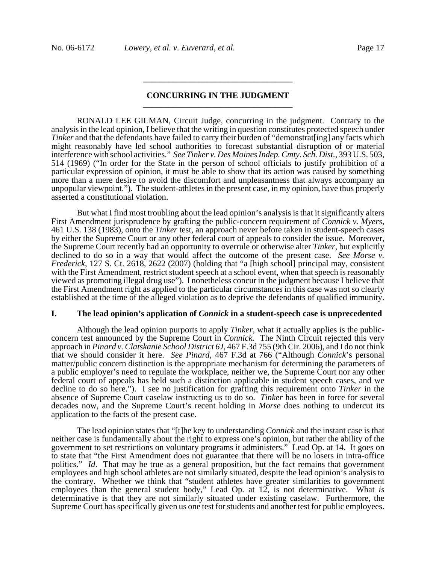# **CONCURRING IN THE JUDGMENT \_\_\_\_\_\_\_\_\_\_\_\_\_\_\_\_\_\_\_\_\_\_\_\_\_\_\_\_\_\_\_\_\_\_\_**

**\_\_\_\_\_\_\_\_\_\_\_\_\_\_\_\_\_\_\_\_\_\_\_\_\_\_\_\_\_\_\_\_\_\_\_**

RONALD LEE GILMAN, Circuit Judge, concurring in the judgment. Contrary to the analysis in the lead opinion, I believe that the writing in question constitutes protected speech under *Tinker* and that the defendants have failed to carry their burden of "demonstrat[ing] any facts which might reasonably have led school authorities to forecast substantial disruption of or material interference with school activities." *See Tinker v. Des Moines Indep. Cmty. Sch. Dist.*, 393 U.S. 503, 514 (1969) ("In order for the State in the person of school officials to justify prohibition of a particular expression of opinion, it must be able to show that its action was caused by something more than a mere desire to avoid the discomfort and unpleasantness that always accompany an unpopular viewpoint."). The student-athletes in the present case, in my opinion, have thus properly asserted a constitutional violation.

But what I find most troubling about the lead opinion's analysis is that it significantly alters First Amendment jurisprudence by grafting the public-concern requirement of *Connick v. Myers*, 461 U.S. 138 (1983), onto the *Tinker* test, an approach never before taken in student-speech cases by either the Supreme Court or any other federal court of appeals to consider the issue. Moreover, the Supreme Court recently had an opportunity to overrule or otherwise alter *Tinker*, but explicitly declined to do so in a way that would affect the outcome of the present case. *See Morse v. Frederick*, 127 S. Ct. 2618, 2622 (2007) (holding that "a [high school] principal may, consistent with the First Amendment, restrict student speech at a school event, when that speech is reasonably viewed as promoting illegal drug use"). I nonetheless concur in the judgment because I believe that the First Amendment right as applied to the particular circumstances in this case was not so clearly established at the time of the alleged violation as to deprive the defendants of qualified immunity.

### **I. The lead opinion's application of** *Connick* **in a student-speech case is unprecedented**

Although the lead opinion purports to apply *Tinker*, what it actually applies is the publicconcern test announced by the Supreme Court in *Connick*. The Ninth Circuit rejected this very approach in *Pinard v. Clatskanie School District 6J*, 467 F.3d 755 (9th Cir. 2006), and I do not think that we should consider it here. *See Pinard*, 467 F.3d at 766 ("Although *Connick*'s personal matter/public concern distinction is the appropriate mechanism for determining the parameters of a public employer's need to regulate the workplace, neither we, the Supreme Court nor any other federal court of appeals has held such a distinction applicable in student speech cases, and we decline to do so here."). I see no justification for grafting this requirement onto *Tinker* in the absence of Supreme Court caselaw instructing us to do so. *Tinker* has been in force for several decades now, and the Supreme Court's recent holding in *Morse* does nothing to undercut its application to the facts of the present case.

The lead opinion states that "[t]he key to understanding *Connick* and the instant case is that neither case is fundamentally about the right to express one's opinion, but rather the ability of the government to set restrictions on voluntary programs it administers." Lead Op. at 14. It goes on to state that "the First Amendment does not guarantee that there will be no losers in intra-office politics." *Id*. That may be true as a general proposition, but the fact remains that government employees and high school athletes are not similarly situated, despite the lead opinion's analysis to the contrary. Whether we think that "student athletes have greater similarities to government employees than the general student body," Lead Op. at 12, is not determinative. What *is* determinative is that they are not similarly situated under existing caselaw. Furthermore, the Supreme Court has specifically given us one test for students and another test for public employees.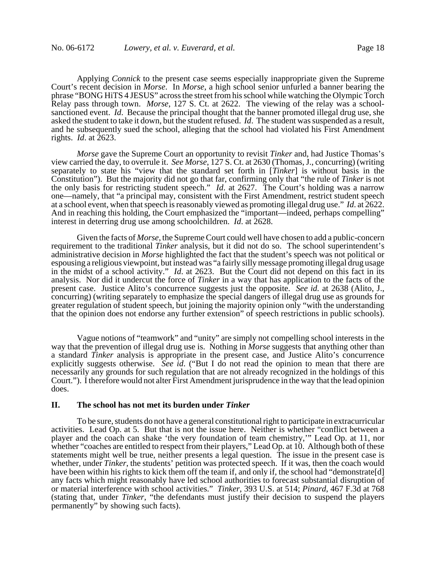Applying *Connick* to the present case seems especially inappropriate given the Supreme Court's recent decision in *Morse*. In *Morse*, a high school senior unfurled a banner bearing the phrase "BONG HiTS 4 JESUS" across the street from his school while watching the Olympic Torch Relay pass through town. *Morse*, 127 S. Ct. at 2622. The viewing of the relay was a schoolsanctioned event. *Id*. Because the principal thought that the banner promoted illegal drug use, she asked the student to take it down, but the student refused. *Id*. The student was suspended as a result, and he subsequently sued the school, alleging that the school had violated his First Amendment rights. *Id*. at 2623.

*Morse* gave the Supreme Court an opportunity to revisit *Tinker* and, had Justice Thomas's view carried the day, to overrule it. *See Morse*, 127 S. Ct. at 2630 (Thomas, J., concurring) (writing separately to state his "view that the standard set forth in [*Tinker*] is without basis in the Constitution"). But the majority did not go that far, confirming only that "the rule of *Tinker* is not the only basis for restricting student speech." *Id*. at 2627. The Court's holding was a narrow one—namely, that "a principal may, consistent with the First Amendment, restrict student speech at a school event, when that speech is reasonably viewed as promoting illegal drug use." *Id*. at 2622. And in reaching this holding, the Court emphasized the "important—indeed, perhaps compelling" interest in deterring drug use among schoolchildren. *Id*. at 2628.

Given the facts of *Morse*, the Supreme Court could well have chosen to add a public-concern requirement to the traditional *Tinker* analysis, but it did not do so. The school superintendent's administrative decision in *Morse* highlighted the fact that the student's speech was not political or espousing a religious viewpoint, but instead was "a fairly silly message promoting illegal drug usage in the midst of a school activity." *Id*. at 2623. But the Court did not depend on this fact in its analysis. Nor did it undercut the force of *Tinker* in a way that has application to the facts of the present case. Justice Alito's concurrence suggests just the opposite. *See id.* at 2638 (Alito, J., concurring) (writing separately to emphasize the special dangers of illegal drug use as grounds for greater regulation of student speech, but joining the majority opinion only "with the understanding that the opinion does not endorse any further extension" of speech restrictions in public schools).

Vague notions of "teamwork" and "unity" are simply not compelling school interests in the way that the prevention of illegal drug use is. Nothing in *Morse* suggests that anything other than a standard *Tinker* analysis is appropriate in the present case, and Justice Alito's concurrence explicitly suggests otherwise. *See id*. ("But I do not read the opinion to mean that there are necessarily any grounds for such regulation that are not already recognized in the holdings of this Court."). I therefore would not alter First Amendment jurisprudence in the way that the lead opinion does.

### **II. The school has not met its burden under** *Tinker*

To be sure, students do not have a general constitutional right to participate in extracurricular activities. Lead Op. at 5. But that is not the issue here. Neither is whether "conflict between a player and the coach can shake 'the very foundation of team chemistry,'" Lead Op. at 11, nor whether "coaches are entitled to respect from their players," Lead Op. at 10. Although both of these statements might well be true, neither presents a legal question. The issue in the present case is whether, under *Tinker*, the students' petition was protected speech. If it was, then the coach would have been within his rights to kick them off the team if, and only if, the school had "demonstrate[d] any facts which might reasonably have led school authorities to forecast substantial disruption of or material interference with school activities." *Tinker*, 393 U.S. at 514; *Pinard*, 467 F.3d at 768 (stating that, under *Tinker*, "the defendants must justify their decision to suspend the players permanently" by showing such facts).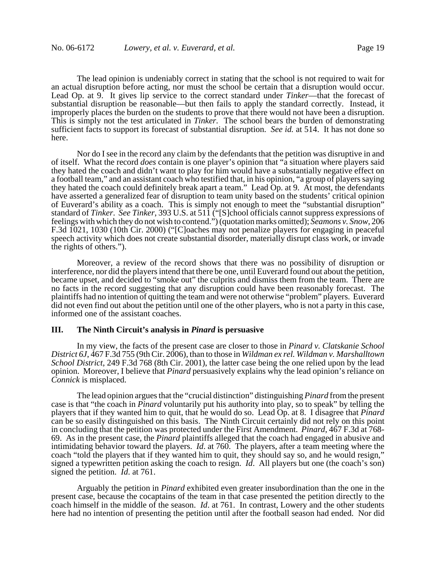The lead opinion is undeniably correct in stating that the school is not required to wait for an actual disruption before acting, nor must the school be certain that a disruption would occur. Lead Op. at 9. It gives lip service to the correct standard under *Tinker*—that the forecast of substantial disruption be reasonable—but then fails to apply the standard correctly. Instead, it improperly places the burden on the students to prove that there would not have been a disruption. This is simply not the test articulated in *Tinker*. The school bears the burden of demonstrating sufficient facts to support its forecast of substantial disruption. *See id.* at 514. It has not done so here.

Nor do I see in the record any claim by the defendants that the petition was disruptive in and of itself. What the record *does* contain is one player's opinion that "a situation where players said they hated the coach and didn't want to play for him would have a substantially negative effect on a football team," and an assistant coach who testified that, in his opinion, "a group of players saying they hated the coach could definitely break apart a team." Lead Op. at 9. At most, the defendants have asserted a generalized fear of disruption to team unity based on the students' critical opinion of Euverard's ability as a coach. This is simply not enough to meet the "substantial disruption" standard of *Tinker*. *See Tinker*, 393 U.S. at 511 ("[S]chool officials cannot suppress expressions of feelings with which they do not wish to contend.") (quotation marks omitted); *Seamons v. Snow*, 206 F.3d 1021, 1030 (10th Cir. 2000) ("[C]oaches may not penalize players for engaging in peaceful speech activity which does not create substantial disorder, materially disrupt class work, or invade the rights of others.").

Moreover, a review of the record shows that there was no possibility of disruption or interference, nor did the players intend that there be one, until Euverard found out about the petition, became upset, and decided to "smoke out" the culprits and dismiss them from the team. There are no facts in the record suggesting that any disruption could have been reasonably forecast. The plaintiffs had no intention of quitting the team and were not otherwise "problem" players. Euverard did not even find out about the petition until one of the other players, who is not a party in this case, informed one of the assistant coaches.

### **III. The Ninth Circuit's analysis in** *Pinard* **is persuasive**

In my view, the facts of the present case are closer to those in *Pinard v. Clatskanie School District 6J*, 467 F.3d 755 (9th Cir. 2006), than to those in *Wildman ex rel. Wildman v. Marshalltown School District*, 249 F.3d 768 (8th Cir. 2001), the latter case being the one relied upon by the lead opinion. Moreover, I believe that *Pinard* persuasively explains why the lead opinion's reliance on *Connick* is misplaced.

The lead opinion argues that the "crucial distinction" distinguishing *Pinard* from the present case is that "the coach in *Pinard* voluntarily put his authority into play, so to speak" by telling the players that if they wanted him to quit, that he would do so. Lead Op. at 8. I disagree that *Pinard* can be so easily distinguished on this basis. The Ninth Circuit certainly did not rely on this point in concluding that the petition was protected under the First Amendment. *Pinard*, 467 F.3d at 768- 69. As in the present case, the *Pinard* plaintiffs alleged that the coach had engaged in abusive and intimidating behavior toward the players. *Id*. at 760. The players, after a team meeting where the coach "told the players that if they wanted him to quit, they should say so, and he would resign," signed a typewritten petition asking the coach to resign. *Id*. All players but one (the coach's son) signed the petition. *Id*. at 761.

Arguably the petition in *Pinard* exhibited even greater insubordination than the one in the present case, because the cocaptains of the team in that case presented the petition directly to the coach himself in the middle of the season. *Id*. at 761. In contrast, Lowery and the other students here had no intention of presenting the petition until after the football season had ended. Nor did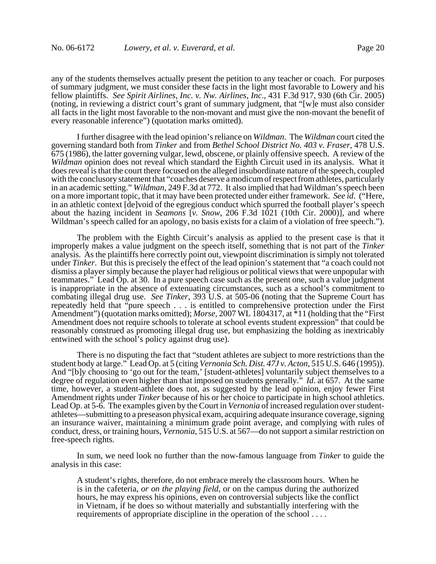any of the students themselves actually present the petition to any teacher or coach. For purposes of summary judgment, we must consider these facts in the light most favorable to Lowery and his fellow plaintiffs. *See Spirit Airlines, Inc. v. Nw. Airlines, Inc*., 431 F.3d 917, 930 (6th Cir. 2005) (noting, in reviewing a district court's grant of summary judgment, that "[w]e must also consider all facts in the light most favorable to the non-movant and must give the non-movant the benefit of every reasonable inference") (quotation marks omitted).

I further disagree with the lead opinion's reliance on *Wildman*. The *Wildman* court cited the governing standard both from *Tinker* and from *Bethel School District No. 403 v. Fraser*, 478 U.S. 675 (1986), the latter governing vulgar, lewd, obscene, or plainly offensive speech. A review of the *Wildman* opinion does not reveal which standard the Eighth Circuit used in its analysis. What it does reveal is that the court there focused on the alleged insubordinate nature of the speech, coupled with the conclusory statement that "coaches deserve a modicum of respect from athletes, particularly in an academic setting." *Wildman*, 249 F.3d at 772. It also implied that had Wildman's speech been on a more important topic, that it may have been protected under either framework. *See id*. ("Here, in an athletic context [de]void of the egregious conduct which spurred the football player's speech about the hazing incident in *Seamons* [*v. Snow*, 206 F.3d 1021 (10th Cir. 2000)], and where Wildman's speech called for an apology, no basis exists for a claim of a violation of free speech.").

The problem with the Eighth Circuit's analysis as applied to the present case is that it improperly makes a value judgment on the speech itself, something that is not part of the *Tinker* analysis. As the plaintiffs here correctly point out, viewpoint discrimination is simply not tolerated under *Tinker*. But this is precisely the effect of the lead opinion's statement that "a coach could not dismiss a player simply because the player had religious or political views that were unpopular with teammates." Lead Op. at 30. In a pure speech case such as the present one, such a value judgment is inappropriate in the absence of extenuating circumstances, such as a school's commitment to combating illegal drug use. *See Tinker*, 393 U.S. at 505-06 (noting that the Supreme Court has repeatedly held that "pure speech . . . is entitled to comprehensive protection under the First Amendment") (quotation marks omitted); *Morse*, 2007 WL 1804317, at <sup>\*</sup>11 (holding that the "First Amendment does not require schools to tolerate at school events student expression" that could be reasonably construed as promoting illegal drug use, but emphasizing the holding as inextricably entwined with the school's policy against drug use).

There is no disputing the fact that "student athletes are subject to more restrictions than the student body at large." Lead Op. at 5 (citing *Vernonia Sch. Dist. 47J v. Acton*, 515 U.S. 646 (1995)). And "[b]y choosing to 'go out for the team,' [student-athletes] voluntarily subject themselves to a degree of regulation even higher than that imposed on students generally." *Id*. at 657. At the same time, however, a student-athlete does not, as suggested by the lead opinion, enjoy fewer First Amendment rights under *Tinker* because of his or her choice to participate in high school athletics. Lead Op. at 5-6. The examples given by the Court in *Vernonia* of increased regulation over studentathletes—submitting to a preseason physical exam, acquiring adequate insurance coverage, signing an insurance waiver, maintaining a minimum grade point average, and complying with rules of conduct, dress, or training hours, *Vernonia*, 515 U.S. at 567—do not support a similar restriction on free-speech rights.

In sum, we need look no further than the now-famous language from *Tinker* to guide the analysis in this case:

A student's rights, therefore, do not embrace merely the classroom hours. When he is in the cafeteria, *or on the playing field*, or on the campus during the authorized hours, he may express his opinions, even on controversial subjects like the conflict in Vietnam, if he does so without materially and substantially interfering with the requirements of appropriate discipline in the operation of the school . . . .